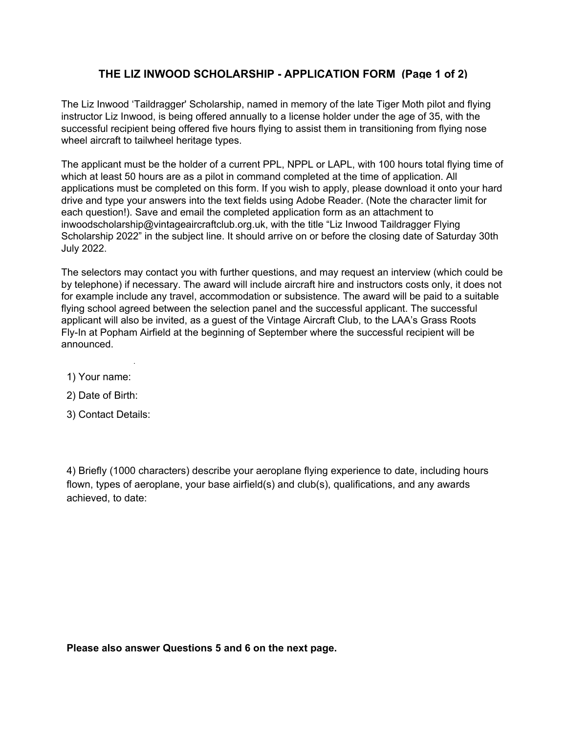## **THE LIZ INWOOD SCHOLARSHIP APPLICATION FORM (Page 1 of 2)**

The Liz Inwood 'Taildragger' Scholarship, named in memory of the late Tiger Moth pilot and flying mstructor Eiz inwood, is being offered annually to a license holder under the age of 55, with the<br>successful recipient being offered five hours flying to assist them in transitioning from flying nose flying nose wheel aircraft to tailwheel heritage types. wheel aircraft to tailwheel heritage types. instructor Liz Inwood, is being offered annually to a license holder under the age of 35, with the

he applicant must be the holder of a current PPL, NPPL or applications must be completed on this form. If you wish to apply, please download it onto your hard drive and type your answers into the text fields using Adobe Reader. (Note the character limit for each question!). Save and email the completed application form as an attachment to inwoodscholarship@vintageaircraftclub.org.uk, with the title "Liz Inwood Taildragger Flying<br>Culture 2006.it is a constructive in the construction of the construction of the construction of the construct Scholarship 2022" in the subject line. It should arrive on or before the closing date of Saturday 30th.<br>July 2022  $\frac{d}{dt}$   $\frac{d}{dt}$   $\frac{d}{dt}$ Saturday 28th July 2018. **Sunday 28th July 2019** 8 8**.** 2021 The applicant must be the holder of a current PPL, NPPL or LAPL, with 100 hours total flying The applicant must be the holder of a current PPL, NPPL or LAPL, with 100 hours total flying time of which at least 50 hours are as a pilot in command completed at the time of application. All July 2022.

he selectors may contact you with further questions, and may request an interview (which co by telephone) if necessary. The award will include aircraft hire and instructors costs only, it does not on champio molduc any travel, accommodation or subsistence. The award will be paid to a suitable paig concernage commencement concerning and and the successful approach the succession part of the suitable fl<br>policant will also be invited tas a quest of the Vintage Aircraft Club to the LAA's Grass Roo Fly-In at Popham Airfield at the beginning of September where the successful recipient will be to the LAA Rally at Symell Aerodrome, Northampton on 2nd or 3rd September where the Symell Aerodrome, Northampton on 2nd or 3rd September where the Symell Aerodrome, Northampton on 3rd September where the Symell Aerodrome, The start of the state of the start of the start of the start of the start of will include aircraft hire and in modation or subsistence. The ection panel and the successful est of the Vintage Aircraft Club, nning of Septem  $T$  selectors may contact you with further questions, and may request and may request an interview (which interview (which is  $\alpha$ The selectors may contact you with further questions, and may request an interview (which could be for example include any travel, accommodation or subsistence. The award will be paid to a suitable flying school agreed between the selection panel and the successful applicant. The successful applicant will also be invited, as a guest of the Vintage Aircraft Club, to the LAA's Grass Roots<br> announced.

- 1) Υour name:
- 2) Date of Birth:
- 3) Contact Details:

successful recipient will be announced.

4) Briefly (1000 characters) describe your aeroplane flying experience to date, including hours flown, types of aeroplane, your base airfield(s) and club(s), qualifications, and any awards achieved, to date:

**Please also answer Questions 5 and 6 on the next page.**